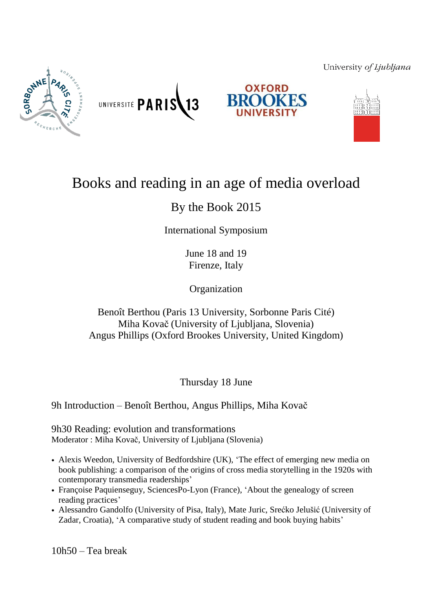# University of Ljubljana







# Books and reading in an age of media overload

13

# By the Book 2015

International Symposium

June 18 and 19 Firenze, Italy

**Organization** 

# Benoît Berthou (Paris 13 University, Sorbonne Paris Cité) Miha Kovač (University of Ljubljana, Slovenia) Angus Phillips (Oxford Brookes University, United Kingdom)

Thursday 18 June

9h Introduction – Benoît Berthou, Angus Phillips, Miha Kovač

9h30 Reading: evolution and transformations Moderator : Miha Kovač, University of Ljubljana (Slovenia)

UNIVERSITÉ PARIS

- Alexis Weedon, University of Bedfordshire (UK), 'The effect of emerging new media on book publishing: a comparison of the origins of cross media storytelling in the 1920s with contemporary transmedia readerships'
- Françoise Paquienseguy, SciencesPo-Lyon (France), 'About the genealogy of screen reading practices'
- Alessandro Gandolfo (University of Pisa, Italy), Mate Juric, Srećko Jelušić (University of Zadar, Croatia), 'A comparative study of student reading and book buying habits'

10h50 – Tea break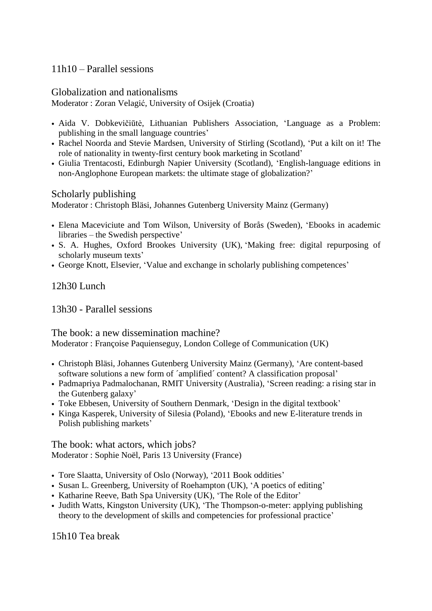### 11h10 – Parallel sessions

### Globalization and nationalisms

Moderator : Zoran Velagić, University of Osijek (Croatia)

- Aida V. Dobkevičiūtė, Lithuanian Publishers Association, 'Language as a Problem: publishing in the small language countries'
- Rachel Noorda and Stevie Mardsen, University of Stirling (Scotland), 'Put a kilt on it! The role of nationality in twenty-first century book marketing in Scotland'
- Giulia Trentacosti, Edinburgh Napier University (Scotland), 'English-language editions in non-Anglophone European markets: the ultimate stage of globalization?'

#### Scholarly publishing

Moderator : Christoph Bläsi, Johannes Gutenberg University Mainz (Germany)

- Elena Maceviciute and Tom Wilson, University of Borås (Sweden), 'Ebooks in academic libraries – the Swedish perspective'
- S. A. Hughes, Oxford Brookes University (UK), 'Making free: digital repurposing of scholarly museum texts'
- George Knott, Elsevier, 'Value and exchange in scholarly publishing competences'

## 12h30 Lunch

13h30 - Parallel sessions

#### The book: a new dissemination machine?

Moderator : Françoise Paquienseguy, London College of Communication (UK)

- Christoph Bläsi, Johannes Gutenberg University Mainz (Germany), 'Are content-based software solutions a new form of ´amplified´ content? A classification proposal'
- Padmapriya Padmalochanan, RMIT University (Australia), 'Screen reading: a rising star in the Gutenberg galaxy'
- Toke Ebbesen, University of Southern Denmark, 'Design in the digital textbook'
- Kinga Kasperek, University of Silesia (Poland), 'Ebooks and new E-literature trends in Polish publishing markets'

The book: what actors, which jobs? Moderator : Sophie Noël, Paris 13 University (France)

- Tore Slaatta, University of Oslo (Norway), '2011 Book oddities'
- Susan L. Greenberg, University of Roehampton (UK), 'A poetics of editing'
- Katharine Reeve, Bath Spa University (UK), 'The Role of the Editor'
- Judith Watts, Kingston University (UK), 'The Thompson-o-meter: applying publishing theory to the development of skills and competencies for professional practice'

15h10 Tea break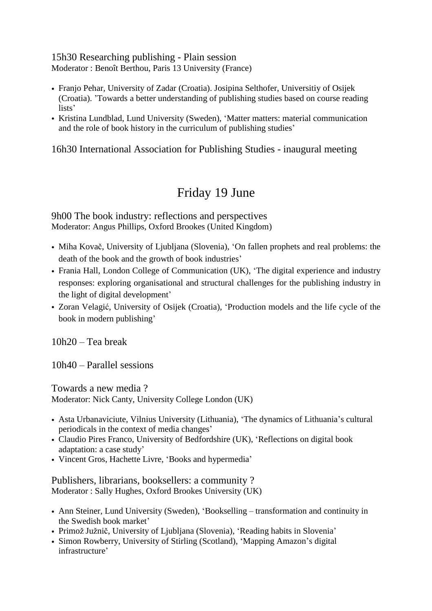#### 15h30 Researching publishing - Plain session Moderator : Benoît Berthou, Paris 13 University (France)

- Franjo Pehar, University of Zadar (Croatia). Josipina Selthofer, Universitiy of Osijek (Croatia). 'Towards a better understanding of publishing studies based on course reading lists'
- Kristina Lundblad, Lund University (Sweden), 'Matter matters: material communication and the role of book history in the curriculum of publishing studies'

16h30 International Association for Publishing Studies - inaugural meeting

# Friday 19 June

9h00 The book industry: reflections and perspectives Moderator: Angus Phillips, Oxford Brookes (United Kingdom)

- Miha Kovač, University of Ljubljana (Slovenia), 'On fallen prophets and real problems: the death of the book and the growth of book industries'
- Frania Hall, London College of Communication (UK), 'The digital experience and industry responses: exploring organisational and structural challenges for the publishing industry in the light of digital development'
- Zoran Velagić, University of Osijek (Croatia), 'Production models and the life cycle of the book in modern publishing'

10h20 – Tea break

10h40 – Parallel sessions

Towards a new media ? Moderator: Nick Canty, University College London (UK)

- Asta Urbanaviciute, Vilnius University (Lithuania), 'The dynamics of Lithuania's cultural periodicals in the context of media changes'
- Claudio Pires Franco, University of Bedfordshire (UK), 'Reflections on digital book adaptation: a case study'
- Vincent Gros, Hachette Livre, 'Books and hypermedia'

Publishers, librarians, booksellers: a community ? Moderator : Sally Hughes, Oxford Brookes University (UK)

- Ann Steiner, Lund University (Sweden), 'Bookselling transformation and continuity in the Swedish book market'
- Primož Južnič, University of Ljubljana (Slovenia), 'Reading habits in Slovenia'
- Simon Rowberry, University of Stirling (Scotland), 'Mapping Amazon's digital infrastructure'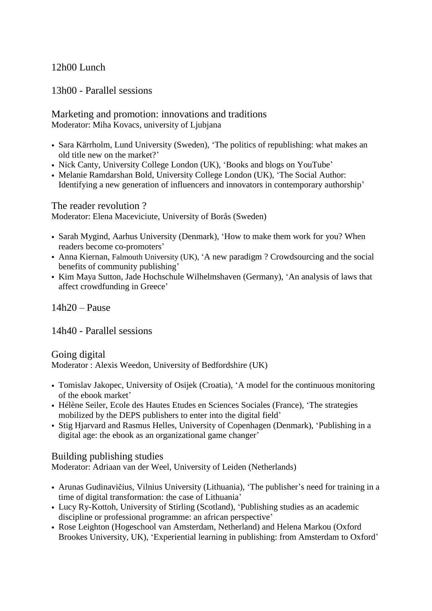# 12h00 Lunch

13h00 - Parallel sessions

Marketing and promotion: innovations and traditions Moderator: Miha Kovacs, university of Ljubjana

- Sara Kärrholm, Lund University (Sweden), 'The politics of republishing: what makes an old title new on the market?'
- Nick Canty, University College London (UK), 'Books and blogs on YouTube'
- Melanie Ramdarshan Bold, University College London (UK), 'The Social Author: Identifying a new generation of influencers and innovators in contemporary authorship'

The reader revolution ?

Moderator: Elena Maceviciute, University of Borås (Sweden)

- Sarah Mygind, Aarhus University (Denmark), 'How to make them work for you? When readers become co-promoters'
- Anna Kiernan, Falmouth University (UK), 'A new paradigm ? Crowdsourcing and the social benefits of community publishing'
- Kim Maya Sutton, Jade Hochschule Wilhelmshaven (Germany), 'An analysis of laws that affect crowdfunding in Greece'

14h20 – Pause

14h40 - Parallel sessions

Going digital Moderator : Alexis Weedon, University of Bedfordshire (UK)

- Tomislav Jakopec, University of Osijek (Croatia), 'A model for the continuous monitoring of the ebook market'
- Hélène Seiler, Ecole des Hautes Etudes en Sciences Sociales (France), 'The strategies mobilized by the DEPS publishers to enter into the digital field'
- Stig Hjarvard and Rasmus Helles, University of Copenhagen (Denmark), 'Publishing in a digital age: the ebook as an organizational game changer'

#### Building publishing studies

Moderator: Adriaan van der Weel, University of Leiden (Netherlands)

- Arunas Gudinavičius, Vilnius University (Lithuania), 'The publisher's need for training in a time of digital transformation: the case of Lithuania'
- Lucy Ry-Kottoh, University of Stirling (Scotland), 'Publishing studies as an academic discipline or professional programme: an african perspective'
- Rose Leighton (Hogeschool van Amsterdam, Netherland) and Helena Markou (Oxford Brookes University, UK), 'Experiential learning in publishing: from Amsterdam to Oxford'